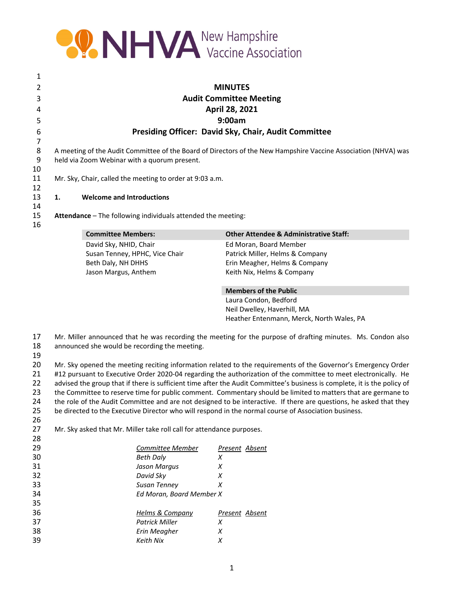

 **MINUTES Audit Committee Meeting April 28, 2021 9:00am Presiding Officer: David Sky, Chair, Audit Committee** A meeting of the Audit Committee of the Board of Directors of the New Hampshire Vaccine Association (NHVA) was held via Zoom Webinar with a quorum present. Mr. Sky, Chair, called the meeting to order at 9:03 a.m. **1. Welcome and Introductions Attendance** – The following individuals attended the meeting: **Committee Members: Other Attendee & Administrative Staff:** David Sky, NHID, Chair Susan Tenney, HPHC, Vice Chair Ed Moran, Board Member Patrick Miller, Helms & Company Beth Daly, NH DHHS Erin Meagher, Helms & Company Jason Margus, Anthem Keith Nix, Helms & Company **Members of the Public** Laura Condon, Bedford Neil Dwelley, Haverhill, MA Heather Entenmann, Merck, North Wales, PA

Mr. Miller announced that he was recording the meeting for the purpose of drafting minutes. Ms. Condon also

announced she would be recording the meeting.

20 Mr. Sky opened the meeting reciting information related to the requirements of the Governor's Emergency Order 21 #12 pursuant to Executive Order 2020-04 regarding the authorization of the committee to meet electronically. He 22 advised the group that if there is sufficient time after the Audit Committee's business is complete, it is the policy of 23 the Committee to reserve time for public comment. Commentary should be limited to matters that are germane to 24 the role of the Audit Committee and are not designed to be interactive. If there are questions, he asked that they be directed to the Executive Director who will respond in the normal course of Association business. 

Mr. Sky asked that Mr. Miller take roll call for attendance purposes.

| 29 | Committee Member         | Present Absent |
|----|--------------------------|----------------|
| 30 | Beth Daly                | x              |
| 31 | Jason Margus             | X              |
| 32 | David Sky                | х              |
| 33 | Susan Tenney             | х              |
| 34 | Ed Moran, Board Member X |                |
| 35 |                          |                |
| 36 | Helms & Company          | Present Absent |
| 37 | Patrick Miller           | x              |
| 38 | Erin Meagher             | Х              |
| 39 | Keith Nix                |                |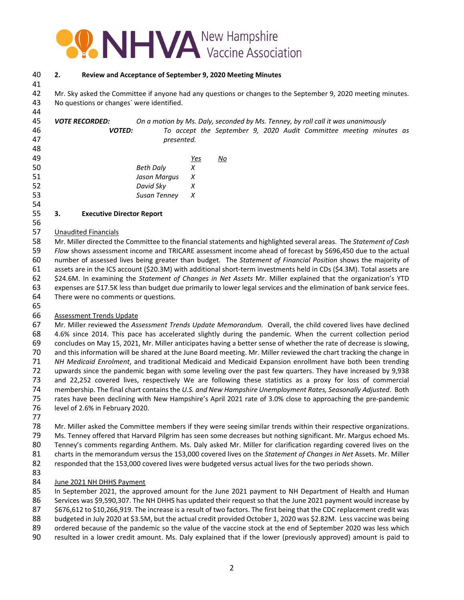

# **2. Review and Acceptance of September 9, 2020 Meeting Minutes**

 Mr. Sky asked the Committee if anyone had any questions or changes to the September 9, 2020 meeting minutes. No questions or changes` were identified.

**VOTE RECORDED:** On a motion by Ms. Daly, seconded by Ms. Tenney, by roll call it was unanimously *VOTED: To accept the September 9, 2020 Audit Committee meeting minutes as presented.*  

| 49 |                  | Yes              | No |
|----|------------------|------------------|----|
| 50 | <b>Beth Daly</b> |                  |    |
| 51 | Jason Margus     | $\boldsymbol{X}$ |    |
| 52 | David Sky        |                  |    |
| 53 | Susan Tenney     | X                |    |
|    |                  |                  |    |

#### **3. Executive Director Report**

#### Unaudited Financials

 Mr. Miller directed the Committee to the financial statements and highlighted several areas. The *Statement of Cash Flow* shows assessment income and TRICARE assessment income ahead of forecast by \$696,450 due to the actual number of assessed lives being greater than budget. The *Statement of Financial Position* shows the majority of assets are in the ICS account (\$20.3M) with additional short‐term investments held in CDs (\$4.3M). Total assets are \$24.6M. In examining the *Statement of Changes in Net Assets* Mr. Miller explained that the organization's YTD expenses are \$17.5K less than budget due primarily to lower legal services and the elimination of bank service fees. There were no comments or questions.

# Assessment Trends Update

 Mr. Miller reviewed the *Assessment Trends Update Memorandum.* Overall, the child covered lives have declined 4.6% since 2014. This pace has accelerated slightly during the pandemic. When the current collection period concludes on May 15, 2021, Mr. Miller anticipates having a better sense of whether the rate of decrease is slowing, and this information will be shared at the June Board meeting. Mr. Miller reviewed the chart tracking the change in *NH Medicaid Enrolment*, and traditional Medicaid and Medicaid Expansion enrollment have both been trending upwards since the pandemic began with some leveling over the past few quarters. They have increased by 9,938 and 22,252 covered lives, respectively We are following these statistics as a proxy for loss of commercial membership. The final chart contains the *U.S. and New Hampshire Unemployment Rates, Seasonally Adjusted*. Both rates have been declining with New Hampshire's April 2021 rate of 3.0% close to approaching the pre‐pandemic level of 2.6% in February 2020.

 Mr. Miller asked the Committee members if they were seeing similar trends within their respective organizations. Ms. Tenney offered that Harvard Pilgrim has seen some decreases but nothing significant. Mr. Margus echoed Ms.

Tenney's comments regarding Anthem. Ms. Daly asked Mr. Miller for clarification regarding covered lives on the

charts in the memorandum versus the 153,000 covered lives on the *Statement of Changes in Net* Assets. Mr. Miller

responded that the 153,000 covered lives were budgeted versus actual lives for the two periods shown.

- 
- June 2021 NH DHHS Payment

In September 2021, the approved amount for the June 2021 payment to NH Department of Health and Human

Services was \$9,590,307. The NH DHHS has updated their request so that the June 2021 payment would increase by

\$676,612 to \$10,266,919. The increase is a result of two factors. The first being that the CDC replacement credit was

- budgeted in July 2020 at \$3.5M, but the actual credit provided October 1, 2020 was \$2.82M. Less vaccine was being
- 89 ordered because of the pandemic so the value of the vaccine stock at the end of September 2020 was less which
- resulted in a lower credit amount. Ms. Daly explained that if the lower (previously approved) amount is paid to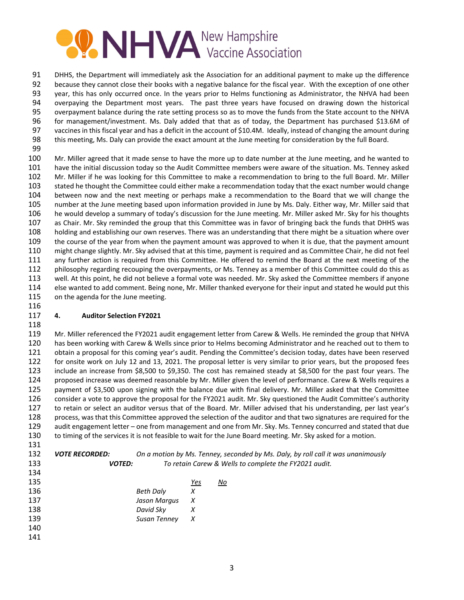

 DHHS, the Department will immediately ask the Association for an additional payment to make up the difference because they cannot close their books with a negative balance for the fiscal year. With the exception of one other year, this has only occurred once. In the years prior to Helms functioning as Administrator, the NHVA had been overpaying the Department most years. The past three years have focused on drawing down the historical overpayment balance during the rate setting process so as to move the funds from the State account to the NHVA for management/investment. Ms. Daly added that that as of today, the Department has purchased \$13.6M of vaccines in this fiscal year and has a deficit in the account of \$10.4M. Ideally, instead of changing the amount during this meeting, Ms. Daly can provide the exact amount at the June meeting for consideration by the full Board.

100 Mr. Miller agreed that it made sense to have the more up to date number at the June meeting, and he wanted to have the initial discussion today so the Audit Committee members were aware of the situation. Ms. Tenney asked Mr. Miller if he was looking for this Committee to make a recommendation to bring to the full Board. Mr. Miller stated he thought the Committee could either make a recommendation today that the exact number would change between now and the next meeting or perhaps make a recommendation to the Board that we will change the number at the June meeting based upon information provided in June by Ms. Daly. Either way, Mr. Miller said that he would develop a summary of today's discussion for the June meeting. Mr. Miller asked Mr. Sky for his thoughts as Chair. Mr. Sky reminded the group that this Committee was in favor of bringing back the funds that DHHS was holding and establishing our own reserves. There was an understanding that there might be a situation where over the course of the year from when the payment amount was approved to when it is due, that the payment amount might change slightly. Mr. Sky advised that at this time, payment is required and as Committee Chair, he did not feel any further action is required from this Committee. He offered to remind the Board at the next meeting of the 112 philosophy regarding recouping the overpayments, or Ms. Tenney as a member of this Committee could do this as well. At this point, he did not believe a formal vote was needed. Mr. Sky asked the Committee members if anyone else wanted to add comment. Being none, Mr. Miller thanked everyone for their input and stated he would put this 115 on the agenda for the June meeting. 

# **4. Auditor Selection FY2021**

 Mr. Miller referenced the FY2021 audit engagement letter from Carew & Wells. He reminded the group that NHVA has been working with Carew & Wells since prior to Helms becoming Administrator and he reached out to them to obtain a proposal for this coming year's audit. Pending the Committee's decision today, dates have been reserved for onsite work on July 12 and 13, 2021. The proposal letter is very similar to prior years, but the proposed fees include an increase from \$8,500 to \$9,350. The cost has remained steady at \$8,500 for the past four years. The proposed increase was deemed reasonable by Mr. Miller given the level of performance. Carew & Wells requires a payment of \$3,500 upon signing with the balance due with final delivery. Mr. Miller asked that the Committee consider a vote to approve the proposal for the FY2021 audit. Mr. Sky questioned the Audit Committee's authority to retain or select an auditor versus that of the Board. Mr. Miller advised that his understanding, per last year's process, was that this Committee approved the selection of the auditor and that two signatures are required for the audit engagement letter – one from management and one from Mr. Sky. Ms. Tenney concurred and stated that due to timing of the services it is not feasible to wait for the June Board meeting. Mr. Sky asked for a motion. 

| --- |                              |              |     |                                                                                  |
|-----|------------------------------|--------------|-----|----------------------------------------------------------------------------------|
| 132 | <i><b>VOTE RECORDED:</b></i> |              |     | On a motion by Ms. Tenney, seconded by Ms. Daly, by roll call it was unanimously |
| 133 | <b>VOTED:</b>                |              |     | To retain Carew & Wells to complete the FY2021 audit.                            |
| 134 |                              |              |     |                                                                                  |
| 135 |                              |              | Yes | No                                                                               |
| 136 |                              | Beth Daly    | X   |                                                                                  |
| 137 |                              | Jason Marqus | X   |                                                                                  |
| 138 |                              | David Sky    | X   |                                                                                  |
| 139 |                              | Susan Tenney | X   |                                                                                  |
| 140 |                              |              |     |                                                                                  |
| 141 |                              |              |     |                                                                                  |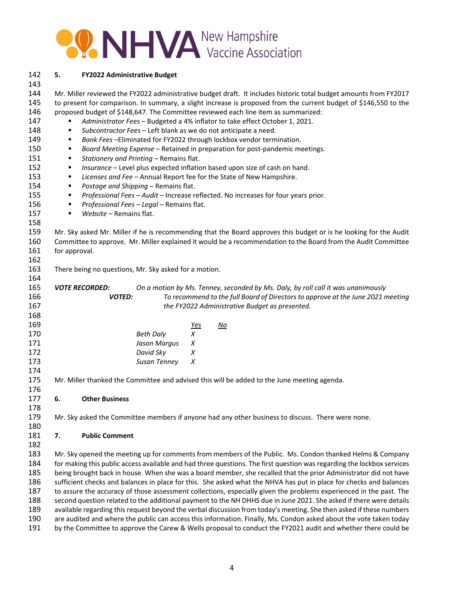

| 142        | 5.                                                                                                                     | <b>FY2022 Administrative Budget</b>                   |                  |            |                                                                                                                     |
|------------|------------------------------------------------------------------------------------------------------------------------|-------------------------------------------------------|------------------|------------|---------------------------------------------------------------------------------------------------------------------|
| 143<br>144 |                                                                                                                        |                                                       |                  |            | Mr. Miller reviewed the FY2022 administrative budget draft. It includes historic total budget amounts from FY2017   |
| 145        |                                                                                                                        |                                                       |                  |            | to present for comparison. In summary, a slight increase is proposed from the current budget of \$146,550 to the    |
| 146        |                                                                                                                        |                                                       |                  |            | proposed budget of \$148,647. The Committee reviewed each line item as summarized:                                  |
| 147        | ٠                                                                                                                      |                                                       |                  |            | Administrator Fees - Budgeted a 4% inflator to take effect October 1, 2021.                                         |
| 148        | ٠                                                                                                                      |                                                       |                  |            | Subcontractor Fees - Left blank as we do not anticipate a need.                                                     |
| 149        | п                                                                                                                      |                                                       |                  |            | Bank Fees-Eliminated for FY2022 through lockbox vendor termination.                                                 |
| 150        | ٠                                                                                                                      |                                                       |                  |            | Board Meeting Expense - Retained in preparation for post-pandemic meetings.                                         |
| 151        | ٠                                                                                                                      | Stationery and Printing - Remains flat.               |                  |            |                                                                                                                     |
| 152        | ٠                                                                                                                      |                                                       |                  |            | Insurance - Level plus expected inflation based upon size of cash on hand.                                          |
| 153        | ٠                                                                                                                      |                                                       |                  |            | Licenses and Fee - Annual Report fee for the State of New Hampshire.                                                |
| 154        | ٠                                                                                                                      | Postage and Shipping - Remains flat.                  |                  |            |                                                                                                                     |
| 155        | ٠                                                                                                                      |                                                       |                  |            | Professional Fees - Audit - Increase reflected. No increases for four years prior.                                  |
| 156        | ٠                                                                                                                      | Professional Fees - Legal - Remains flat.             |                  |            |                                                                                                                     |
| 157        | ٠                                                                                                                      | Website - Remains flat.                               |                  |            |                                                                                                                     |
| 158        |                                                                                                                        |                                                       |                  |            |                                                                                                                     |
| 159        |                                                                                                                        |                                                       |                  |            | Mr. Sky asked Mr. Miller if he is recommending that the Board approves this budget or is he looking for the Audit   |
| 160        | Committee to approve. Mr. Miller explained it would be a recommendation to the Board from the Audit Committee          |                                                       |                  |            |                                                                                                                     |
| 161        | for approval.                                                                                                          |                                                       |                  |            |                                                                                                                     |
| 162        |                                                                                                                        |                                                       |                  |            |                                                                                                                     |
| 163        |                                                                                                                        | There being no questions, Mr. Sky asked for a motion. |                  |            |                                                                                                                     |
| 164        |                                                                                                                        |                                                       |                  |            |                                                                                                                     |
| 165        |                                                                                                                        | <b>VOTE RECORDED:</b>                                 |                  |            | On a motion by Ms. Tenney, seconded by Ms. Daly, by roll call it was unanimously                                    |
| 166        |                                                                                                                        | <b>VOTED:</b>                                         |                  |            | To recommend to the full Board of Directors to approve at the June 2021 meeting                                     |
| 167        |                                                                                                                        |                                                       |                  |            | the FY2022 Administrative Budget as presented.                                                                      |
| 168        |                                                                                                                        |                                                       |                  |            |                                                                                                                     |
| 169        |                                                                                                                        |                                                       |                  | <u>Yes</u> | <u>No</u>                                                                                                           |
| 170        |                                                                                                                        |                                                       | <b>Beth Daly</b> | X          |                                                                                                                     |
| 171        |                                                                                                                        |                                                       | Jason Margus     | Χ          |                                                                                                                     |
| 172        |                                                                                                                        |                                                       | David Sky        | X          |                                                                                                                     |
| 173        |                                                                                                                        |                                                       | Susan Tenney     | Χ          |                                                                                                                     |
| 174        |                                                                                                                        |                                                       |                  |            |                                                                                                                     |
| 175        |                                                                                                                        |                                                       |                  |            | Mr. Miller thanked the Committee and advised this will be added to the June meeting agenda.                         |
| 176        |                                                                                                                        |                                                       |                  |            |                                                                                                                     |
| 177        | 6.                                                                                                                     | <b>Other Business</b>                                 |                  |            |                                                                                                                     |
| 178        |                                                                                                                        |                                                       |                  |            |                                                                                                                     |
| 179        |                                                                                                                        |                                                       |                  |            | Mr. Sky asked the Committee members if anyone had any other business to discuss. There were none.                   |
| 180        |                                                                                                                        |                                                       |                  |            |                                                                                                                     |
| 181        | 7.                                                                                                                     | <b>Public Comment</b>                                 |                  |            |                                                                                                                     |
| 182        |                                                                                                                        |                                                       |                  |            |                                                                                                                     |
| 183        | Mr. Sky opened the meeting up for comments from members of the Public. Ms. Condon thanked Helms & Company              |                                                       |                  |            |                                                                                                                     |
| 184        | for making this public access available and had three questions. The first question was regarding the lockbox services |                                                       |                  |            |                                                                                                                     |
| 185        | being brought back in house. When she was a board member, she recalled that the prior Administrator did not have       |                                                       |                  |            |                                                                                                                     |
| 186        | sufficient checks and balances in place for this. She asked what the NHVA has put in place for checks and balances     |                                                       |                  |            |                                                                                                                     |
| 187        | to assure the accuracy of those assessment collections, especially given the problems experienced in the past. The     |                                                       |                  |            |                                                                                                                     |
| 188        | second question related to the additional payment to the NH DHHS due in June 2021. She asked if there were details     |                                                       |                  |            |                                                                                                                     |
| 189        |                                                                                                                        |                                                       |                  |            | available regarding this request beyond the verbal discussion from today's meeting. She then asked if these numbers |
| 190        |                                                                                                                        |                                                       |                  |            | are audited and where the public can access this information. Finally, Ms. Condon asked about the vote taken today  |
| 191        |                                                                                                                        |                                                       |                  |            | by the Committee to approve the Carew & Wells proposal to conduct the FY2021 audit and whether there could be       |